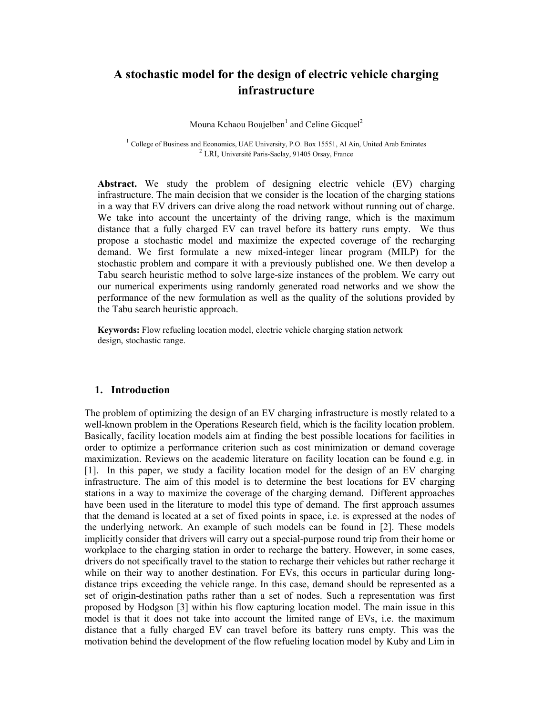# A stochastic model for the design of electric vehicle charging infrastructure

Mouna Kchaou Boujelben $^1$  and Celine Gicquel<sup>2</sup>

<sup>1</sup> College of Business and Economics, UAE University, P.O. Box 15551, Al Ain, United Arab Emirates 2 LRI, Université Paris-Saclay, 91405 Orsay, France

Abstract. We study the problem of designing electric vehicle (EV) charging infrastructure. The main decision that we consider is the location of the charging stations in a way that EV drivers can drive along the road network without running out of charge. We take into account the uncertainty of the driving range, which is the maximum distance that a fully charged EV can travel before its battery runs empty. We thus propose a stochastic model and maximize the expected coverage of the recharging demand. We first formulate a new mixed-integer linear program (MILP) for the stochastic problem and compare it with a previously published one. We then develop a Tabu search heuristic method to solve large-size instances of the problem. We carry out our numerical experiments using randomly generated road networks and we show the performance of the new formulation as well as the quality of the solutions provided by the Tabu search heuristic approach.

Keywords: Flow refueling location model, electric vehicle charging station network design, stochastic range.

#### 1. Introduction

The problem of optimizing the design of an EV charging infrastructure is mostly related to a well-known problem in the Operations Research field, which is the facility location problem. Basically, facility location models aim at finding the best possible locations for facilities in order to optimize a performance criterion such as cost minimization or demand coverage maximization. Reviews on the academic literature on facility location can be found e.g. in [1]. In this paper, we study a facility location model for the design of an EV charging infrastructure. The aim of this model is to determine the best locations for EV charging stations in a way to maximize the coverage of the charging demand. Different approaches have been used in the literature to model this type of demand. The first approach assumes that the demand is located at a set of fixed points in space, i.e. is expressed at the nodes of the underlying network. An example of such models can be found in [2]. These models implicitly consider that drivers will carry out a special-purpose round trip from their home or workplace to the charging station in order to recharge the battery. However, in some cases, drivers do not specifically travel to the station to recharge their vehicles but rather recharge it while on their way to another destination. For EVs, this occurs in particular during longdistance trips exceeding the vehicle range. In this case, demand should be represented as a set of origin-destination paths rather than a set of nodes. Such a representation was first proposed by Hodgson [3] within his flow capturing location model. The main issue in this model is that it does not take into account the limited range of EVs, i.e. the maximum distance that a fully charged EV can travel before its battery runs empty. This was the motivation behind the development of the flow refueling location model by Kuby and Lim in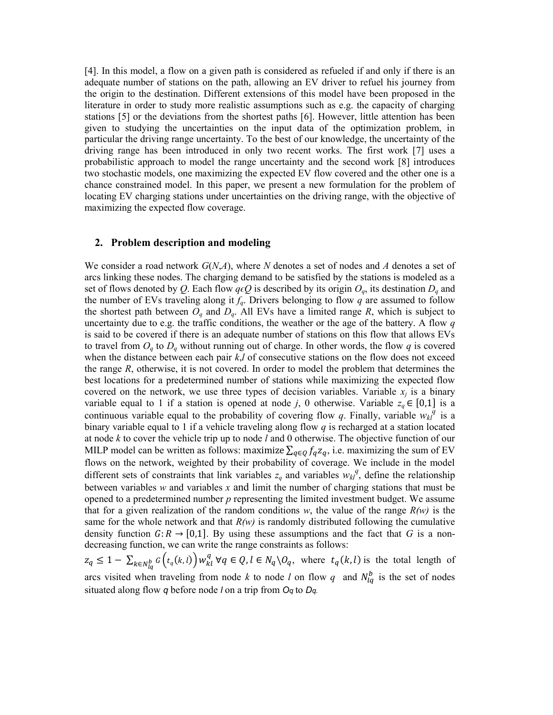[4]. In this model, a flow on a given path is considered as refueled if and only if there is an adequate number of stations on the path, allowing an EV driver to refuel his journey from the origin to the destination. Different extensions of this model have been proposed in the literature in order to study more realistic assumptions such as e.g. the capacity of charging stations [5] or the deviations from the shortest paths [6]. However, little attention has been given to studying the uncertainties on the input data of the optimization problem, in particular the driving range uncertainty. To the best of our knowledge, the uncertainty of the driving range has been introduced in only two recent works. The first work [7] uses a probabilistic approach to model the range uncertainty and the second work [8] introduces two stochastic models, one maximizing the expected EV flow covered and the other one is a chance constrained model. In this paper, we present a new formulation for the problem of locating EV charging stations under uncertainties on the driving range, with the objective of maximizing the expected flow coverage.

## 2. Problem description and modeling

We consider a road network  $G(N,A)$ , where N denotes a set of nodes and A denotes a set of arcs linking these nodes. The charging demand to be satisfied by the stations is modeled as a set of flows denoted by Q. Each flow  $q\epsilon Q$  is described by its origin  $O_q$ , its destination  $D_q$  and the number of EVs traveling along it  $f_q$ . Drivers belonging to flow q are assumed to follow the shortest path between  $O_q$  and  $D_q$ . All EVs have a limited range R, which is subject to uncertainty due to e.g. the traffic conditions, the weather or the age of the battery. A flow  $q$ is said to be covered if there is an adequate number of stations on this flow that allows EVs to travel from  $O_q$  to  $D_q$  without running out of charge. In other words, the flow q is covered when the distance between each pair  $k, l$  of consecutive stations on the flow does not exceed the range  $R$ , otherwise, it is not covered. In order to model the problem that determines the best locations for a predetermined number of stations while maximizing the expected flow covered on the network, we use three types of decision variables. Variable  $x_i$  is a binary variable equal to 1 if a station is opened at node j, 0 otherwise. Variable  $z_q \in [0,1]$  is a continuous variable equal to the probability of covering flow q. Finally, variable  $w_{kl}^{\bar{q}}$  is a binary variable equal to 1 if a vehicle traveling along flow  $q$  is recharged at a station located at node  $k$  to cover the vehicle trip up to node  $l$  and  $0$  otherwise. The objective function of our MILP model can be written as follows: maximize  $\sum_{q \in Q} f_q z_q$ , i.e. maximizing the sum of EV flows on the network, weighted by their probability of coverage. We include in the model different sets of constraints that link variables  $z_q$  and variables  $w_{kl}^q$ , define the relationship between variables w and variables x and limit the number of charging stations that must be opened to a predetermined number  $p$  representing the limited investment budget. We assume that for a given realization of the random conditions w, the value of the range  $R(w)$  is the same for the whole network and that  $R(w)$  is randomly distributed following the cumulative density function  $G: R \to [0,1]$ . By using these assumptions and the fact that G is a nondecreasing function, we can write the range constraints as follows:

 $z_q \leq 1 - \sum_{k \in N_{lq}^b} G(t_q(k, l)) w_{kl}^q \ \forall q \in Q, l \in N_q \setminus O_q$ , where  $t_q(k, l)$  is the total length of arcs visited when traveling from node k to node l on flow q and  $N_{lq}^{b}$  is the set of nodes situated along flow  $q$  before node *l* on a trip from  $Oq$  to  $Dq$ .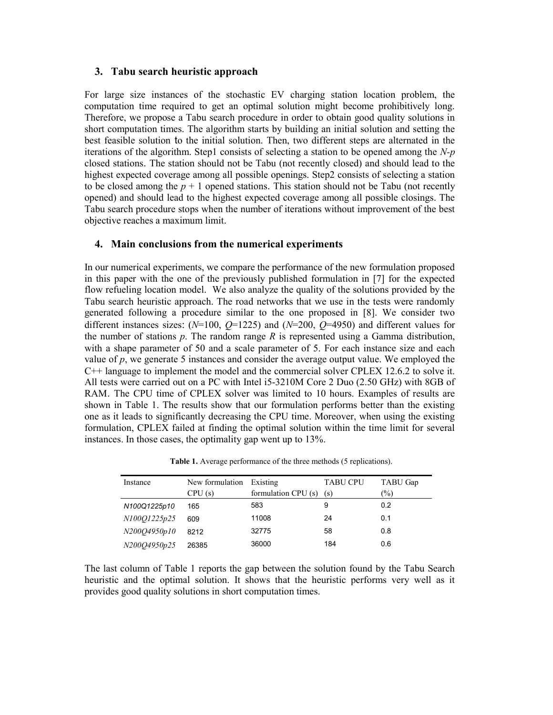#### 3. Tabu search heuristic approach

For large size instances of the stochastic EV charging station location problem, the computation time required to get an optimal solution might become prohibitively long. Therefore, we propose a Tabu search procedure in order to obtain good quality solutions in short computation times. The algorithm starts by building an initial solution and setting the best feasible solution to the initial solution. Then, two different steps are alternated in the iterations of the algorithm. Step1 consists of selecting a station to be opened among the  $N-p$ closed stations. The station should not be Tabu (not recently closed) and should lead to the highest expected coverage among all possible openings. Step2 consists of selecting a station to be closed among the  $p + 1$  opened stations. This station should not be Tabu (not recently opened) and should lead to the highest expected coverage among all possible closings. The Tabu search procedure stops when the number of iterations without improvement of the best objective reaches a maximum limit.

### 4. Main conclusions from the numerical experiments

In our numerical experiments, we compare the performance of the new formulation proposed in this paper with the one of the previously published formulation in [7] for the expected flow refueling location model. We also analyze the quality of the solutions provided by the Tabu search heuristic approach. The road networks that we use in the tests were randomly generated following a procedure similar to the one proposed in [8]. We consider two different instances sizes:  $(N=100, Q=1225)$  and  $(N=200, Q=4950)$  and different values for the number of stations  $p$ . The random range  $R$  is represented using a Gamma distribution, with a shape parameter of 50 and a scale parameter of 5. For each instance size and each value of  $p$ , we generate 5 instances and consider the average output value. We employed the C++ language to implement the model and the commercial solver CPLEX 12.6.2 to solve it. All tests were carried out on a PC with Intel i5-3210M Core 2 Duo (2.50 GHz) with 8GB of RAM. The CPU time of CPLEX solver was limited to 10 hours. Examples of results are shown in Table 1. The results show that our formulation performs better than the existing one as it leads to significantly decreasing the CPU time. Moreover, when using the existing formulation, CPLEX failed at finding the optimal solution within the time limit for several instances. In those cases, the optimality gap went up to 13%.

Table 1. Average performance of the three methods (5 replications).

| Instance     | New formulation | Existing            | <b>TABU CPU</b> | TABU Gap |
|--------------|-----------------|---------------------|-----------------|----------|
|              | CPU(s)          | formulation CPU (s) | (s)             | (%)      |
| N100Q1225p10 | 165             | 583                 | 9               | 0.2      |
| N100Q1225p25 | 609             | 11008               | 24              | 0.1      |
| N200O4950p10 | 8212            | 32775               | 58              | 0.8      |
| N200Q4950p25 | 26385           | 36000               | 184             | 0.6      |

The last column of Table 1 reports the gap between the solution found by the Tabu Search heuristic and the optimal solution. It shows that the heuristic performs very well as it provides good quality solutions in short computation times.